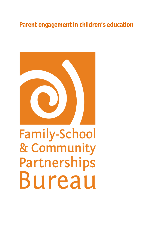# **Parent engagement in children's education**



# **Family-School** & Community Partnerships Bureau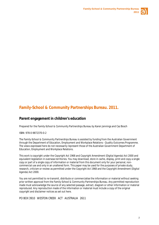

# **Family-School & Community Partnerships Bureau. 2011.**

#### **Parent engagement in children's education**

Prepared for the Family-School & Community Partnerships Bureau by Karen Jennings and Caz Bosch

ISBN: 978-0-9872370-0-2

The Family-School & Community Partnerships Bureau is assisted by funding from the Australian Government through the Department of Education, Employment and Workplace Relations - Quality Outcomes Programme. The views expressed here do not necessarily represent those of the Australian Government Department of Education, Employment and Workplace Relations.

This work is copyright under the *Copyright Act 1968* and *Copyright Amendment (Digital Agenda) Act 2000* and equivalent legislation in overseas territories. You may download, store in cache, display, print and copy a single copy or part of a single copy of information or material from this document only for your personal, noncommercial use and only in an unaltered form. This paper may be used for the purposes of private study, research, criticism or review as permitted under the *Copyright Act 1968* and the *Copyright Amendment (Digital Agenda) Act 2000.*

You are not permitted to re-transmit, distribute or commercialise the information or material without seeking prior written approval from the Family-School & Community Partnerships Bureau. Any permitted reproduction made must acknowledge the source of any selected passage, extract, diagram or other information or material reproduced. Any reproduction made of the information or material must include a copy of the original copyright and disclaimer notices as set out here.

PO BOX 3910 WESTON CREEK ACT AUSTRALIA 2611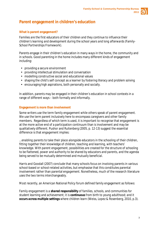

## **Parent engagement in children's education**

#### **What is parent engagement?**

*Families are the first educators of their children and they continue to influence their*  children's learning and development during the school years and long afterwards (Family-*School Partnerships Framework*).

Parents engage in their children's education in many ways in the home, the community and in schools. Good parenting in the home includes many different kinds of engagement including:

- providing a secure environment
- providing intellectual stimulation and conversation
- modelling constructive social and educational values
- shaping the child's self concept as a learner by fostering literacy and problem solving
- encouraging high aspirations, both personally and socially.

In addition, parents may be engaged in their children's education in school contexts in a range of different ways – both formally and informally.

#### **Engagement is more than involvement**

Some writers use the term *family engagement* while others speak of *parent engagement*. We use the term *parent* inclusively here to encompass caregivers and other family members. Regardless of which term is used, it is important to recognise that *engagement* is at the more active end of a participation continuum than is *involvement* and may be qualitatively different. Pushor and Ruitenberg (2005, p. 12-13) suggest the essential difference is that *engagement* implies:

*...enabling parents to take their place alongside educators in the schooling of their children, fitting together their knowledge of children, teaching and learning, with teachers' knowledge. With parent engagement, possibilities are created for the structure of schooling to be flattened, power and authority to be shared by educators and parents, and the agenda being served to be mutually determined and mutually beneficial.*

Harris and Goodall (2007) conclude that many schools focus on *involving* parents in various school-based or school-related activities, but emphasise that this constitutes parental *involvement* rather than parental *engagement.* Nonetheless, much of the research literature uses the two terms interchangeably.

Most recently, an American National Policy forum defined family engagement as follows:

*Family engagement is a shared responsibility of families, schools, and communities for student learning and achievement; it is continuous from birth to young adulthood; and it occurs across multiple settings where children learn* (Weiss, Lopez & Rosenberg, 2010, p.3).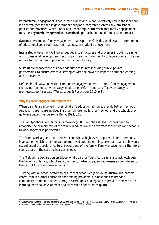

Parent/family engagement is not in itself a new idea. What is relatively new is the idea that it be formally enshrined in government policy and integrated systemically into school policies and practices. Weiss, Lopez and Rosenberg (2010) assert that family engagement must be a **systemic**, **integrated** and **sustained** approach, not an add-on or a random act.

*Systemic* here means family engagement that is purposefully designed as a core component of educational goals such as school readiness or student achievement.

*Integrated* engagement will be embedded into structures and processes including training and professional development, teaching and learning, community collaboration, and the use of data for continuous improvement and accountability.

*Sustainable* engagement will have adequate resources including public–private partnerships, to ensure effective strategies with the power to impact on student learning and achievement.

Defined in this way, and with a community engagement wrap around, family engagement represents 'an innovative strategy in education reform' and 'an effective strategy to promote student success' (Weiss, Lopez & Rosenberg, 2010, p.3).

#### **Why is parent engagement important?**

*When parents are involved in their children's education at home, they do better in school. And when parents are involved in school, children go farther in school and the schools they go to are better* (Henderson & Berla, 1994, p.15).

The *Family-School Partnerships Framework* (2008)[1](#page-3-0) emphasises that schools need to recognise the primary role of the family in education and advocates for families and schools to work together in partnership.

The *Framework* argues that effective schools have high levels of parental and community involvement which can be related to improved student learning, attendance and behaviour, regardless of the social or cultural background of the family. Family engagement is therefore seen as part of the core business of schools.

The *Melbourne Declaration on Educational Goals for Young Australians* also acknowledges the benefits of family, school and community partnerships, and expresses a commitment on the part of Australian governments to:

*...(work) with all school sectors to ensure that schools engage young Australians, parents, carers, families, other education and training providers, business and the broader community to support students' progress through schooling, and to provide them with rich learning, personal development and citizenship opportunities* (p.10).

<span id="page-3-0"></span><sup>&</sup>lt;sup>1</sup> The Framework was the result of a collaborative national project established by APC, ACSSO and DEEWR (then DEST) in 2004. Trialled in 61 schools in 2005, the Framework was subsequently signed off by MCEETYA in 2008.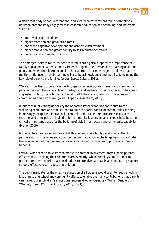

A significant body of both international and Australian research has found correlations between parent/family engagement in children's education and schooling, and indicators such as:

- **improved school readiness**
- higher retention and graduation rates
- enhanced cognitive development and academic achievement
- higher motivation and greater ability to self-regulate behaviour
- better social and relationship skills.

The emergent shift to more *'*student-centred' learning also supports the importance of family engagement. When students are encouraged to set personalised learning goals and plans, and when their learning outside the classroom is acknowledged, it follows that the multiple influences on their learning will also be acknowledged and mobilised, including the key role of parents and families (Weiss, Lopez & Stark, 2011).

We also know that schools have much to gain from incorporating family and community perspectives into their curricula and pedagogy, and leveraging their resources. It has been suggested, in fact, that schools can't work well if their relationships with families and communities don't work well (Weiss, Lopez & Rosenberg, 2010).

In our continually changing society the opportunity for schools to contribute to the wellbeing of children and families, and to build the social capital of communities, is being increasingly recognised. In low socioeconomic and rural and remote areas especially, teachers and principals are looked to for community leadership, and schools have become critically important places for the building of civic infrastructure and community capability (Muller, 2009).

Muller's literature review suggests that this depends on schools developing authentic partnerships with families and communities, with a particular challenge being to facilitate the involvement of marginalised or lower socio-economic families to produce reciprocal benefits.

*Overall, when schools take steps to motivate parental involvement, they support parents' effectiveness in helping their children learn. Similarly, when school systems attempt to promote teacher and principal contributions to effective parental involvement, they support schools' effectiveness in educating children.* 

*The public mandate for the effective education of all citizens would seem to require nothing less than strong school and community efforts to enable the many contributions that parents can make to their children's educational success* (Hoover-Dempsey, Walker, Sandler, Whetsel, Green, Wilkins & Closson, 2005, p.124).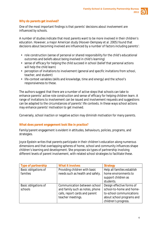

#### **Why do parents get involved?**

*One of the most important findings is that parents' decisions about involvement are influenced by schools.*

A number of studies indicate that most parents want to be more involved in their children's education. However, a major American study (Hoover-Dempsey et al. 2005) found that decisions about becoming involved are influenced by a number of factors including parents':

- role construction (sense of personal or shared responsibility for the child's educational outcomes and beliefs about being involved in child's learning)
- sense of efficacy for helping the child succeed in school (belief that personal actions will help the child learn)
- perception of invitations to involvement (general and specific invitations from school, teacher, and student)
- life-context variables (skills and knowledge, time and energy) and the school's responsiveness to these.

The authors suggest that there are a number of active steps that schools can take to enhance parents' active role construction and sense of efficacy for helping children learn. A range of invitations to involvement can be issued and involvement requests and suggestions can be adapted to the circumstances of parents' life contexts. In these ways school actions may enhance parents' motivation to get involved.

Conversely, school inaction or negative action may diminish motivation for many parents.

#### **What does parent engagement look like in practice?**

Family/parent engagement is evident in attitudes, behaviours, policies, programs, and strategies.

Joyce Epstein writes that parents participate in their children's education along numerous dimensions and that overlapping spheres of home, school and community influences shape children's learning and development. She proposes six types of partnership involving different levels of parent involvement, with related school strategies to facilitate these.

| Type of partnership  | <b>What it involves</b>          | <b>Strategy</b>             |
|----------------------|----------------------------------|-----------------------------|
| Basic obligations of | Providing children with basic    | Help all families establish |
| families             | needs such as health and safety. | home environments to        |
|                      |                                  | support children as         |
|                      |                                  | students.                   |
| Basic obligations of | Communication between school     | Design effective forms of   |
| schools              | and family such as notes, phone  | school-to-home and home-    |
|                      | calls, report cards and parent   | to-school communications    |
|                      | teacher meetings.                | about school programs and   |
|                      |                                  | children's progress.        |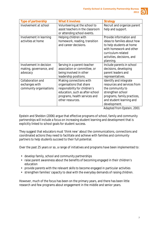| -- |  |
|----|--|
|    |  |

| <b>Type of partnership</b> | <b>What it involves</b>          | <b>Strategy</b>             |
|----------------------------|----------------------------------|-----------------------------|
| Involvement at school      | Volunteering at the school to    | Recruit and organize parent |
|                            | assist teachers in the classroom | help and support.           |
|                            | or attending school events.      |                             |
|                            |                                  |                             |
| Involvement in learning    | Helping children with            | Provide information and     |
| activities at home         | homework, reading, transition    | ideas to families about how |
|                            | and career decisions.            | to help students at home    |
|                            |                                  | with homework and other     |
|                            |                                  | curriculum-related          |
|                            |                                  | activities, decisions, and  |
|                            |                                  | planning.                   |
|                            |                                  |                             |
| Involvement in decision    | Serving in a parent-teacher      | Include parents in school   |
| making, governance, and    | association or committee, or     | decisions, developing       |
| advocacy                   | being involved in other          | parent leaders and          |
|                            | leadership positions.            | representatives.            |
| Collaboration and          | Making connections with          | Identify and integrate      |
| exchanges with             | organisations that share         | resources and services from |
| community organisations    | responsibility for children's    | the community to            |
|                            | education, such as after-school  | strengthen school           |
|                            | programs, health services and    | programs, family practices, |
|                            | other resources.                 | and student learning and    |
|                            |                                  | development.                |

*Adapted from Epstein, 2001*

Epstein and Sheldon (2006) argue that effective programs of school, family and community partnerships will include a focus on increasing student learning and development that is explicitly linked to school goals for student success.

They suggest that educators must 'think new' about the communications, connections and coordinated actions they need to facilitate and achieve with families and community partners to help students succeed to their full potential.

Over the past 25 years or so, a range of initiatives and programs have been implemented to:

- develop family, school and community partnerships
- raise parent awareness about the benefits of becoming engaged in their children's education
- provide parents with the relevant skills to become engaged in particular activities
- strengthen families' capacity to deal with the everyday demands of raising children.

However, much of the focus has been on the primary years, and there has been little research and few programs about engagement in the middle and senior years.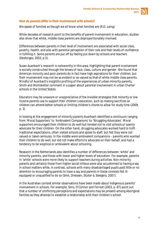

#### **How do parents differ in their involvement with schools?**

We speak of families as though we all know what families are (R.D. Laing)

While decades of research point to the benefits of parent involvement in education, studies also show that white, middle-class parents are disproportionately involved.

*Differences between parents in their level of involvement are associated with social class, poverty, health, and also with parental perception of their role and their levels of confidence in fulfilling it. Some parents are put off by feeling put down by schools and teachers*  (Desforges, 2003, p.5).

Susan Auerbach's research is noteworthy in this area, highlighting that parent involvement is socially constructed through the lenses of race, class, culture and gender. She found that American minority and poor parents do in fact have high aspirations for their children, but their involvement may not be as evident or as valued as that of white middle class parents. Mindful of Auerbach's insightful profiling of the experiences of urban minority parents, Smith and Wohlstetter comment in a paper about parental involvement in urban Charter schools in the United States:

*Educators may be unaware or unappreciative of the invisible strategies that minority or low income parents use to support their children's education, such as making sacrifices so children can attend better schools or limiting children's chores to allow for study time* (2009, p. 3).

In looking at the engagement of minority parents Auerbach identified a continuum ranging from 'Moral Supporters' to 'Ambivalent Companions' to 'Struggling Advocates'. Moral supporters encouraged their children to do well but tended not to visit schools or openly advocate for their children. On the other hand, struggling advocates worked hard to fulfil traditional expectations, often visited schools and spoke to staff, but felt they were not valued or taken seriously. In the middle were ambivalent companions – parents who wanted their children to do well, but did not make efforts to advocate on their behalf, and had a tendency to be sceptical or ambivalent about schooling.

Research in the Netherlands also identifies a number of differences between 'white' and minority parents, and those with lower and higher levels of education. For example, parents in 'white' schools were more likely to support teachers during activities. Non-minority parents and certainly those from higher social milieus were also accustomed to having a say in school matters while, in contrast, schools with many disadvantaged pupils paid little or no attention to encouraging parents to have a say and parents in these contexts felt illequipped or unqualified to do so (Smit, Driessen, Sluiter & Sleegers, 2007).

In the Australian context similar observations have been made about Indigenous parents' involvement in schools. For example, Sims, O'Connor and Forrest (2003, p. 87) point out that a number of conflicting perceptions and expectations may be present among Aboriginal families as they attempt to establish a relationship with their children's school.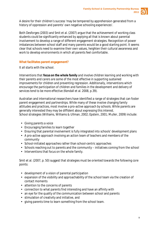

A desire for their children's success 'may be tempered by apprehension generated from a history of oppression and parents' own negative schooling experiences'.

Both Desforges (2003) and Smit et al. (2007) argue that the achievement of working class students could be significantly enhanced by applying all that is known about parental involvement to develop a range of different engagement strategies. Recognition of power imbalances between school staff and many parents would be a good starting point. It seems clear that schools need to examine their own values, heighten their cultural awareness and work to develop environments in which all parents feel comfortable.

#### **What facilitates parent engagement?**

*It all starts with the school.*

*Interventions that focus on the whole family and involve children learning and working with their parents and carers are some of the most effective in supporting sustained improvements for children and preventing regression. Additionally, interventions which encourage the participation of children and families in the development and delivery of services tend to be more effective* (Kendall et al. 2008, p.39).

Australian and international researchers have identified a range of strategies that can foster parent engagement and partnerships. While many of these involve changing family attitudes and practices, most involve a pro-active approach by schools. While parents are generally interested they may be diffident about expressing this interest. School strategies (Williams, Williams & Ullman, 2002; Epstein, 2001; Muller, 2009) include:

- Giving parents a voice
- Encouraging families to learn together
- Ensuring that parental involvement is fully integrated into schools' development plans
- A pro-active approach involving an action team of teachers and members of the community
- School-initiated approaches rather than school-centric approaches
- Schools reaching out to parents and the community initiatives coming from the school  $\mathbf{r}^{(1)}$
- Interventions that focus on the whole family.

Smit et al. (2007, p. 50) suggest that strategies must be oriented towards the following core points:

- development of a vision of parental participation
- expansion of the visibility and approachability of the school team via the creation of contact moments
- attention to the concerns of parents
- connection to what parents find interesting and have an affinity with
- an eye for the quality of the communication between school and parents  $\mathcal{L}^{\pm}$
- stimulation of creativity and initiative, and
- giving parents time to learn something from the school team.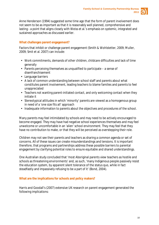

Anne Henderson (1994) suggested some time ago that the form of parent involvement does not seem to be as important as that it is reasonably well planned, comprehensive and lasting - a point that aligns closely with Weiss et al.'s emphasis on systemic, integrated and sustained approaches as discussed earlier.

#### **What challenges parent engagement?**

Factors that inhibit or challenge parent engagement (Smith & Wohlstetter, 2009; Muller, 2009; Smit et al. 2007) can include:

- Work commitments, demands of other children, childcare difficulties and lack of time generally
- Parents perceiving themselves as unqualified to participate a sense of disenfranchisement
- Language barriers
- A lack of common understanding between school staff and parents about what constitutes parent involvement, leading teachers to blame families and parents to feel unappreciated
- Teachers not wanting parent-initiated contact, and only welcoming contact when they initiate it
- Stereotypical attitudes in which 'minority' parents are viewed as a homogenous group in need of a 'one size fits all' approach
- Inadequate information to parents about the objectives and procedures of the school.

Many parents may feel intimidated by schools and may need to be actively encouraged to become engaged. They may have had negative school experiences themselves and may feel unwelcome or uncomfortable in an 'alien' school environment. They may feel that they have no contribution to make, or that they will be perceived as overstepping their role.

Children may not see their parents and teachers as sharing a common agenda or set of concerns. All of these issues can create misunderstandings and tensions. It is important therefore, that programs and partnerships address these possible barriers to parental engagement by clarifying potential roles to ensure equitable and shared understandings.

One Australian study concluded that 'most Aboriginal parents view teachers as hostile and schools as threatening environments' and, as such, 'many Indigenous people passively resist the education system, by apparent silent tolerance of the status quo, while in fact steadfastly and impassively refusing to be a part of it' (Bond, 2004).

#### **What are the implications for schools and policy makers?**

Harris and Goodall's (2007) extensive UK research on parent engagement generated the following implications: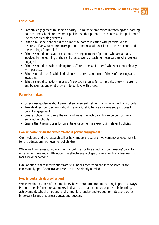

#### *For schools*

- Parental engagement must be a priority....It must be embedded in teaching and learning policies, and school improvement policies, so that parents are seen as an integral part of the student learning process.
- Schools must be clear about the aims of all communication with parents. What  $\mathbf{r}$ response, if any, is required from parents, and how will that impact on the school and the learning of the child?
- Schools should endeavour to support the engagement of parents who are already  $\mathbf{r}^{\left(1\right)}$ involved in the learning of their children as well as reaching those parents who are less engaged.
- Schools should consider training for staff (teachers and others) who work most closely with parents.
- Schools need to be flexible in dealing with parents, in terms of times of meetings and locations.
- Schools should consider the uses of new technologies for communicating with parents and be clear about what they aim to achieve with these.

#### *For policy makers*

- Offer clear guidance about parental engagement (rather than involvement) in schools.
- Provide direction to schools about the relationship between forms and purposes for parent engagement.
- Create policies that clarify the range of ways in which parents can be productively engaged in schools.
- Ensure that the purposes for parental engagement are explicit in relevant policies.

#### **How important is further research about parent engagement?**

Our intuitions and the research tell us how important parent involvement/ engagement is for the educational achievement of children.

While we know a reasonable amount about the positive effect of 'spontaneous' parental engagement, we know little about the effectiveness of specific interventions designed to facilitate engagement.

Evaluations of these interventions are still under-researched and inconclusive. More contextually specific Australian research is also clearly needed.

#### **How important is data collection?**

We know that parents often don't know how to support student learning in practical ways. Parents need information about key indicators such as attendance, growth in learning, achievement, school ethos and environment, retention and graduation rates, and other important issues that affect educational success.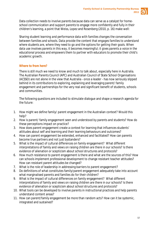

Data collection needs to involve parents because data can serve as a catalyst for homeschool communication and support parents to engage more confidently and fully in their children's learning, a point that Weiss, Lopez and Rosenberg (2010, p. 16) make well:

*Sharing student learning and performance data with families changes the conversation between families and schools. Data provide the content that engages families to understand where students are, where they need to go and the options for getting their goals. When data use involves parents in this way, it becomes meaningful; it gives parents a voice in the educational process and empowers them to partner with educators to promote their child's academic growth.*

#### **Where to from here?**

There is still much we need to know and much to talk about, especially here in Australia. The Australian Parents Council (APC) and Australian Council of State School Organisations (ACSSO) are not alone in the view that Australia - once a leader - has now seriously slipped behind in its contributions to exploring, explaining and leveraging parent/ family engagement and partnerships for the very real and significant benefit of students, schools and communities.

The following questions are included to stimulate dialogue and shape a research agenda for the future:

- 1. How might we define family/ parent engagement in the Australian context? Would this help?
- 2. How is parent/ family engagement seen and understood by parents and students? How do these perceptions impact on practice?
- 3. How does parent engagement create a context for learning that influences students' attitudes about self and learning and their learning behaviours and outcomes?
- 4. How can parent engagement be extended, enhanced and facilitated? How can parents become true partners and not just bystanders?
- 5. What is the impact of cultural differences on family engagement? What different interpretations of family and views on raising children are there in our schools? Is there evidence of alienation or scepticism about school structures and protocols?
- 6. How much resistance to parent engagement is there and what are the sources of this? How can schools implement professional development to change resistant teacher attitudes? How can resistant parent attitudes be changed?
- 7. What is the role of leadership in addressing barriers to parent engagement?
- 8. Do definitions of what constitutes family/parent engagement adequately take into account what marginalised parents and families do for their children?
- 9. What is the impact of cultural differences on family engagement? What different interpretations of family and views on raising children are there in our schools? Is there evidence of alienation or scepticism about school structures and protocols?
- 10. What tools can be developed to involve parents in instructional practices and help parents understand content areas?
- 11. How can parent/family engagement be more than random acts? How can it be systemic, integrated and sustained?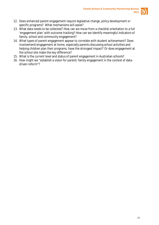

- 12. Does enhanced parent engagement require legislative change, policy development or specific programs? What mechanisms will assist?
- 13. What data needs to be collected? How can we move from a checklist orientation to a full 'engagement plan' with outcome tracking? How can we identify meaningful indicators of family, school and community engagement?
- 14. What types of parent engagement appear to correlate with student achievement? Does involvement/engagement at home, especially parents discussing school activities and helping children plan their programs, have the strongest impact? Or does engagement at the school site make the key difference?
- 15. What is the current level and status of parent engagement in Australian schools?
- 16. How might we "establish a vision for parent/ family engagement in the context of datadriven reform"?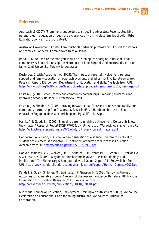

### **References**

Auerbach, S. (2007). 'From moral supporters to struggling advocates: Reconceptualising parent roles in education through the experience of working-class families of color, *Urban Education,* vol. 42, no. 3, pp. 250-283.

Australian Government. (2008). *Family-schools partnership framework: A guide for schools and families*. Canberra: Commonwealth of Australia.

Bond, H. (2004). *We're the mob you should be listening to: Aboriginal elders talk about community–school relationships on Mornington Island.* Unpublished doctoral dissertation, James Cook University, Townsville: Australia.

Desforges, C. with Abouchaar, A. (2003). *The impact of parental involvement, parental support and family education on pupil achievements and adjustment: A literature review*. Research Report 433. London: Department for Education and Skills. Available from URL: [http://www.bgfl.org/bgfl/custom/files\\_uploaded/uploaded\\_resources/18617/Desforges.pdf](http://www.bgfl.org/bgfl/custom/files_uploaded/uploaded_resources/18617/Desforges.pdf)

Epstein, J. (2001). *School, family and community partnerships: Preparing educators and improving schools.* Boulder, CO: Westview Press.

Epstein, J. & Sheldon, S. (2006). 'Moving forward: Ideas for research on school, family, and community partnerships'. In C. Conrad & R. Serlin (Eds.), *Handbook for research in education: Engaging ideas and enriching inquiry.* California: Sage.

Harris, A. & Goodall, J. (2007). *Engaging parents in raising achievement: Do parents know they matter?* Research Report DCSF-RW004, UK: University of Warwick. Available from URL: [http://wiki.ict-register.net/images/0/0a/July\\_07\\_Every\\_parent\\_matters.pdf](http://wiki.ict-register.net/images/0/0a/July_07_Every_parent_matters.pdf)

Henderson, A. & Berla, N. (1994). *A new generation of evidence: The family is critical to student achievement*, Washington DC: National Committee for Citizens in Education. Available from URL:<http://eric.ed.gov/PDFS/ED375968.pdf>

Hoover-Dempsey, K. V., Walker, J. M. T., Sandler, H. M., Whetsel, D., Green, C. L., Wilkins, A. S. & Closson, K. (2005). 'Why do parents become involved? Research findings and implications'. *The Elementary School Journal*, vol. 106, no. 2, pp. 105-130. Available from URL:<http://www.vanderbilt.edu/peabody/family-school/papers/Hoover-Dempsey2005.pdf>

Kendall, S., Straw, S., Jones, M., Springate, I. & Grayson, H. (2008). Narrowing the gap in outcomes for vulnerable groups: A review of the research evidence*.* Berkshire, UK: National Foundation for Education Research (NFER). Available from URL <http://www.nfer.ac.uk/nfer/publications/LNG01/LNG01.pdf>

Ministerial Council on Education, Employment, Training & Youth Affairs. (2008). *Melbourne Declaration on Educational Goals for Young Australians*. Melbourne: Curriculum Corporation.